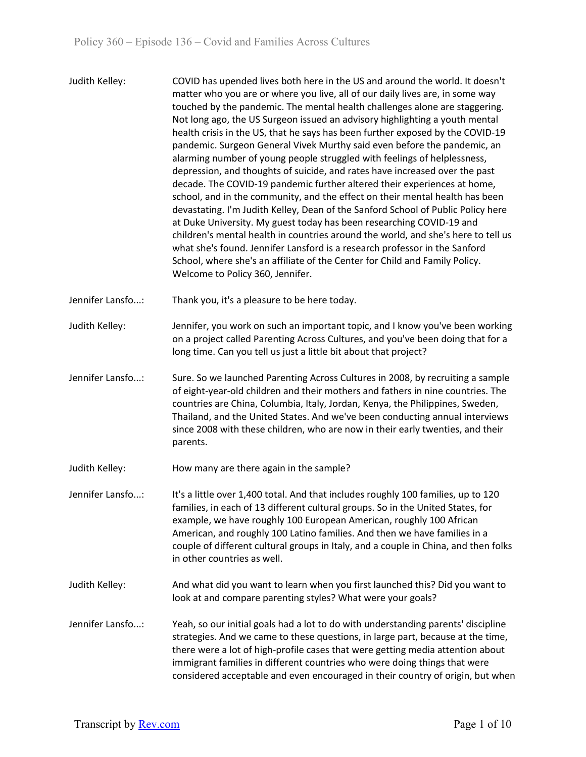Judith Kelley: COVID has upended lives both here in the US and around the world. It doesn't matter who you are or where you live, all of our daily lives are, in some way touched by the pandemic. The mental health challenges alone are staggering. Not long ago, the US Surgeon issued an advisory highlighting a youth mental health crisis in the US, that he says has been further exposed by the COVID-19 pandemic. Surgeon General Vivek Murthy said even before the pandemic, an alarming number of young people struggled with feelings of helplessness, depression, and thoughts of suicide, and rates have increased over the past decade. The COVID-19 pandemic further altered their experiences at home, school, and in the community, and the effect on their mental health has been devastating. I'm Judith Kelley, Dean of the Sanford School of Public Policy here at Duke University. My guest today has been researching COVID-19 and children's mental health in countries around the world, and she's here to tell us what she's found. Jennifer Lansford is a research professor in the Sanford School, where she's an affiliate of the Center for Child and Family Policy. Welcome to Policy 360, Jennifer.

Jennifer Lansfo...: Thank you, it's a pleasure to be here today.

- Judith Kelley: Jennifer, you work on such an important topic, and I know you've been working on a project called Parenting Across Cultures, and you've been doing that for a long time. Can you tell us just a little bit about that project?
- Jennifer Lansfo...: Sure. So we launched Parenting Across Cultures in 2008, by recruiting a sample of eight-year-old children and their mothers and fathers in nine countries. The countries are China, Columbia, Italy, Jordan, Kenya, the Philippines, Sweden, Thailand, and the United States. And we've been conducting annual interviews since 2008 with these children, who are now in their early twenties, and their parents.
- Judith Kelley: How many are there again in the sample?
- Jennifer Lansfo...: It's a little over 1,400 total. And that includes roughly 100 families, up to 120 families, in each of 13 different cultural groups. So in the United States, for example, we have roughly 100 European American, roughly 100 African American, and roughly 100 Latino families. And then we have families in a couple of different cultural groups in Italy, and a couple in China, and then folks in other countries as well.
- Judith Kelley: And what did you want to learn when you first launched this? Did you want to look at and compare parenting styles? What were your goals?
- Jennifer Lansfo...: Yeah, so our initial goals had a lot to do with understanding parents' discipline strategies. And we came to these questions, in large part, because at the time, there were a lot of high-profile cases that were getting media attention about immigrant families in different countries who were doing things that were considered acceptable and even encouraged in their country of origin, but when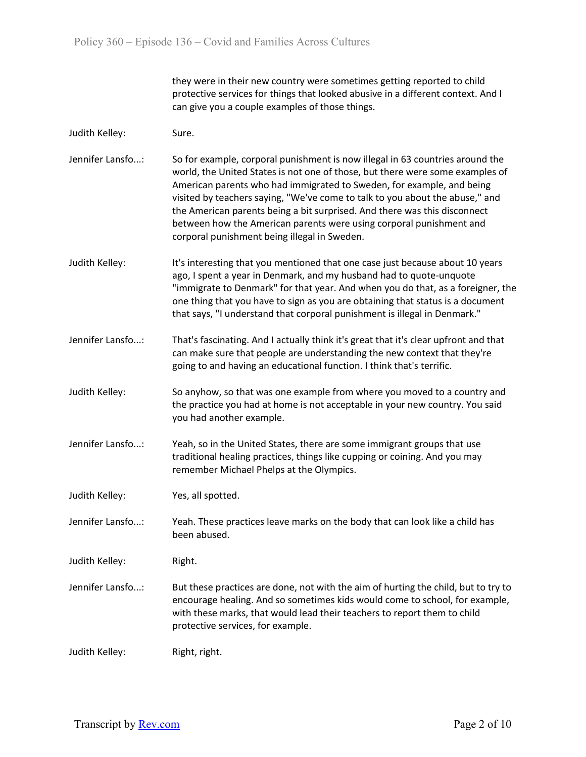they were in their new country were sometimes getting reported to child protective services for things that looked abusive in a different context. And I can give you a couple examples of those things.

- Judith Kelley: Sure.
- Jennifer Lansfo...: So for example, corporal punishment is now illegal in 63 countries around the world, the United States is not one of those, but there were some examples of American parents who had immigrated to Sweden, for example, and being visited by teachers saying, "We've come to talk to you about the abuse," and the American parents being a bit surprised. And there was this disconnect between how the American parents were using corporal punishment and corporal punishment being illegal in Sweden.
- Judith Kelley: It's interesting that you mentioned that one case just because about 10 years ago, I spent a year in Denmark, and my husband had to quote-unquote "immigrate to Denmark" for that year. And when you do that, as a foreigner, the one thing that you have to sign as you are obtaining that status is a document that says, "I understand that corporal punishment is illegal in Denmark."
- Jennifer Lansfo...: That's fascinating. And I actually think it's great that it's clear upfront and that can make sure that people are understanding the new context that they're going to and having an educational function. I think that's terrific.
- Judith Kelley: So anyhow, so that was one example from where you moved to a country and the practice you had at home is not acceptable in your new country. You said you had another example.
- Jennifer Lansfo...: Yeah, so in the United States, there are some immigrant groups that use traditional healing practices, things like cupping or coining. And you may remember Michael Phelps at the Olympics.
- Judith Kelley: Yes, all spotted.
- Jennifer Lansfo...: Yeah. These practices leave marks on the body that can look like a child has been abused.

Judith Kelley: Right.

Jennifer Lansfo...: But these practices are done, not with the aim of hurting the child, but to try to encourage healing. And so sometimes kids would come to school, for example, with these marks, that would lead their teachers to report them to child protective services, for example.

Judith Kelley: Right, right.

Transcript by Rev.com **Page 2 of 10**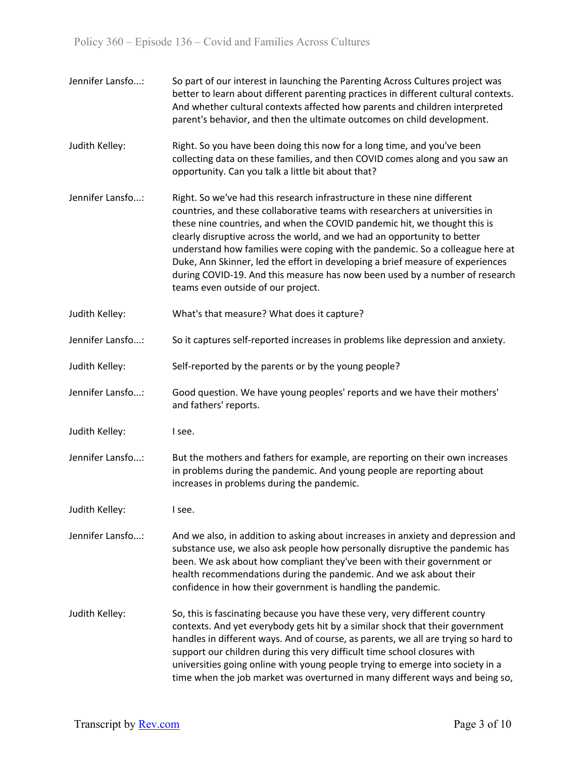Jennifer Lansfo...: So part of our interest in launching the Parenting Across Cultures project was better to learn about different parenting practices in different cultural contexts. And whether cultural contexts affected how parents and children interpreted parent's behavior, and then the ultimate outcomes on child development. Judith Kelley: Right. So you have been doing this now for a long time, and you've been collecting data on these families, and then COVID comes along and you saw an opportunity. Can you talk a little bit about that? Jennifer Lansfo...: Right. So we've had this research infrastructure in these nine different countries, and these collaborative teams with researchers at universities in these nine countries, and when the COVID pandemic hit, we thought this is clearly disruptive across the world, and we had an opportunity to better understand how families were coping with the pandemic. So a colleague here at Duke, Ann Skinner, led the effort in developing a brief measure of experiences during COVID-19. And this measure has now been used by a number of research teams even outside of our project. Judith Kelley: What's that measure? What does it capture? Jennifer Lansfo...: So it captures self-reported increases in problems like depression and anxiety. Judith Kelley: Self-reported by the parents or by the young people? Jennifer Lansfo...: Good question. We have young peoples' reports and we have their mothers' and fathers' reports. Judith Kelley: I see. Jennifer Lansfo...: But the mothers and fathers for example, are reporting on their own increases in problems during the pandemic. And young people are reporting about increases in problems during the pandemic. Judith Kelley: I see. Jennifer Lansfo...: And we also, in addition to asking about increases in anxiety and depression and substance use, we also ask people how personally disruptive the pandemic has been. We ask about how compliant they've been with their government or health recommendations during the pandemic. And we ask about their confidence in how their government is handling the pandemic. Judith Kelley: So, this is fascinating because you have these very, very different country contexts. And yet everybody gets hit by a similar shock that their government handles in different ways. And of course, as parents, we all are trying so hard to support our children during this very difficult time school closures with universities going online with young people trying to emerge into society in a time when the job market was overturned in many different ways and being so,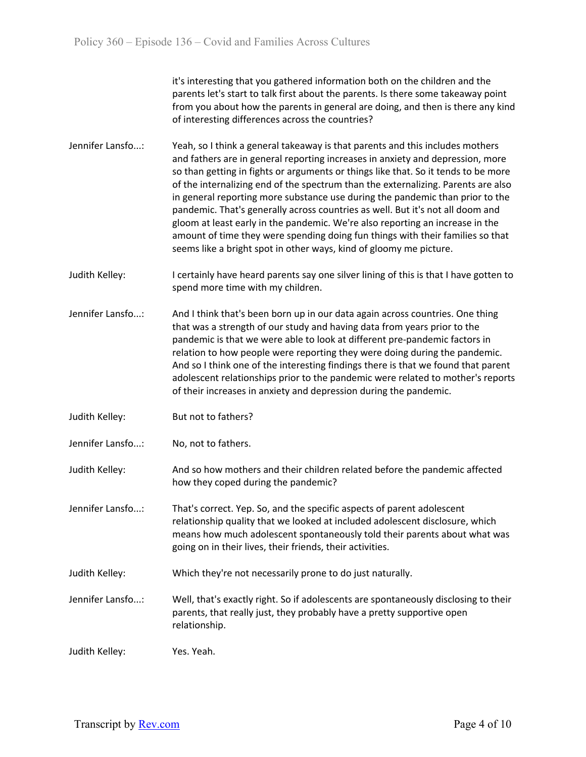it's interesting that you gathered information both on the children and the parents let's start to talk first about the parents. Is there some takeaway point from you about how the parents in general are doing, and then is there any kind of interesting differences across the countries?

- Jennifer Lansfo...: Yeah, so I think a general takeaway is that parents and this includes mothers and fathers are in general reporting increases in anxiety and depression, more so than getting in fights or arguments or things like that. So it tends to be more of the internalizing end of the spectrum than the externalizing. Parents are also in general reporting more substance use during the pandemic than prior to the pandemic. That's generally across countries as well. But it's not all doom and gloom at least early in the pandemic. We're also reporting an increase in the amount of time they were spending doing fun things with their families so that seems like a bright spot in other ways, kind of gloomy me picture.
- Judith Kelley: I certainly have heard parents say one silver lining of this is that I have gotten to spend more time with my children.
- Jennifer Lansfo...: And I think that's been born up in our data again across countries. One thing that was a strength of our study and having data from years prior to the pandemic is that we were able to look at different pre-pandemic factors in relation to how people were reporting they were doing during the pandemic. And so I think one of the interesting findings there is that we found that parent adolescent relationships prior to the pandemic were related to mother's reports of their increases in anxiety and depression during the pandemic.
- Judith Kelley: But not to fathers?
- Jennifer Lansfo...: No, not to fathers.
- Judith Kelley: And so how mothers and their children related before the pandemic affected how they coped during the pandemic?
- Jennifer Lansfo...: That's correct. Yep. So, and the specific aspects of parent adolescent relationship quality that we looked at included adolescent disclosure, which means how much adolescent spontaneously told their parents about what was going on in their lives, their friends, their activities.
- Judith Kelley: Which they're not necessarily prone to do just naturally.
- Jennifer Lansfo...: Well, that's exactly right. So if adolescents are spontaneously disclosing to their parents, that really just, they probably have a pretty supportive open relationship.

Judith Kelley: Yes. Yeah.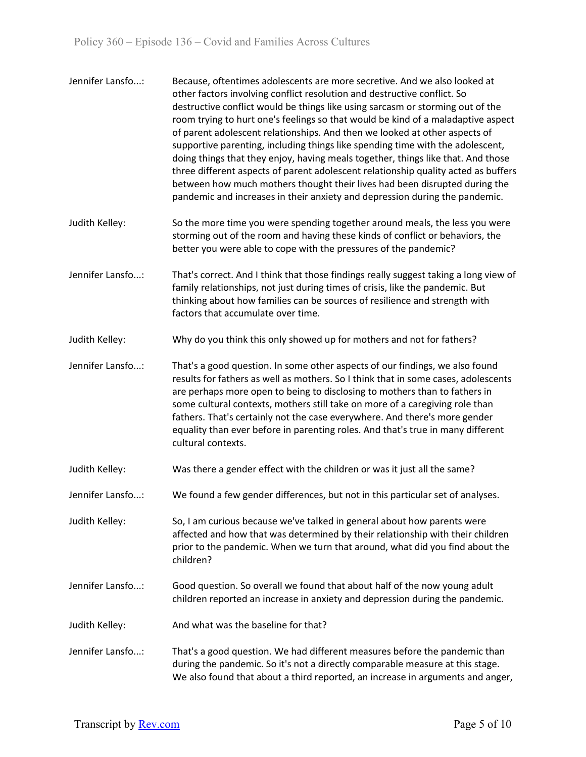| Jennifer Lansfo: | Because, oftentimes adolescents are more secretive. And we also looked at<br>other factors involving conflict resolution and destructive conflict. So<br>destructive conflict would be things like using sarcasm or storming out of the<br>room trying to hurt one's feelings so that would be kind of a maladaptive aspect<br>of parent adolescent relationships. And then we looked at other aspects of<br>supportive parenting, including things like spending time with the adolescent,<br>doing things that they enjoy, having meals together, things like that. And those<br>three different aspects of parent adolescent relationship quality acted as buffers<br>between how much mothers thought their lives had been disrupted during the<br>pandemic and increases in their anxiety and depression during the pandemic. |
|------------------|------------------------------------------------------------------------------------------------------------------------------------------------------------------------------------------------------------------------------------------------------------------------------------------------------------------------------------------------------------------------------------------------------------------------------------------------------------------------------------------------------------------------------------------------------------------------------------------------------------------------------------------------------------------------------------------------------------------------------------------------------------------------------------------------------------------------------------|
| Judith Kelley:   | So the more time you were spending together around meals, the less you were<br>storming out of the room and having these kinds of conflict or behaviors, the<br>better you were able to cope with the pressures of the pandemic?                                                                                                                                                                                                                                                                                                                                                                                                                                                                                                                                                                                                   |
| Jennifer Lansfo: | That's correct. And I think that those findings really suggest taking a long view of<br>family relationships, not just during times of crisis, like the pandemic. But<br>thinking about how families can be sources of resilience and strength with<br>factors that accumulate over time.                                                                                                                                                                                                                                                                                                                                                                                                                                                                                                                                          |
| Judith Kelley:   | Why do you think this only showed up for mothers and not for fathers?                                                                                                                                                                                                                                                                                                                                                                                                                                                                                                                                                                                                                                                                                                                                                              |
| Jennifer Lansfo: | That's a good question. In some other aspects of our findings, we also found<br>results for fathers as well as mothers. So I think that in some cases, adolescents<br>are perhaps more open to being to disclosing to mothers than to fathers in<br>some cultural contexts, mothers still take on more of a caregiving role than<br>fathers. That's certainly not the case everywhere. And there's more gender<br>equality than ever before in parenting roles. And that's true in many different<br>cultural contexts.                                                                                                                                                                                                                                                                                                            |
| Judith Kelley:   | Was there a gender effect with the children or was it just all the same?                                                                                                                                                                                                                                                                                                                                                                                                                                                                                                                                                                                                                                                                                                                                                           |
| Jennifer Lansfo: | We found a few gender differences, but not in this particular set of analyses.                                                                                                                                                                                                                                                                                                                                                                                                                                                                                                                                                                                                                                                                                                                                                     |
| Judith Kelley:   | So, I am curious because we've talked in general about how parents were<br>affected and how that was determined by their relationship with their children<br>prior to the pandemic. When we turn that around, what did you find about the<br>children?                                                                                                                                                                                                                                                                                                                                                                                                                                                                                                                                                                             |
| Jennifer Lansfo: | Good question. So overall we found that about half of the now young adult<br>children reported an increase in anxiety and depression during the pandemic.                                                                                                                                                                                                                                                                                                                                                                                                                                                                                                                                                                                                                                                                          |
| Judith Kelley:   | And what was the baseline for that?                                                                                                                                                                                                                                                                                                                                                                                                                                                                                                                                                                                                                                                                                                                                                                                                |
| Jennifer Lansfo: | That's a good question. We had different measures before the pandemic than<br>during the pandemic. So it's not a directly comparable measure at this stage.<br>We also found that about a third reported, an increase in arguments and anger,                                                                                                                                                                                                                                                                                                                                                                                                                                                                                                                                                                                      |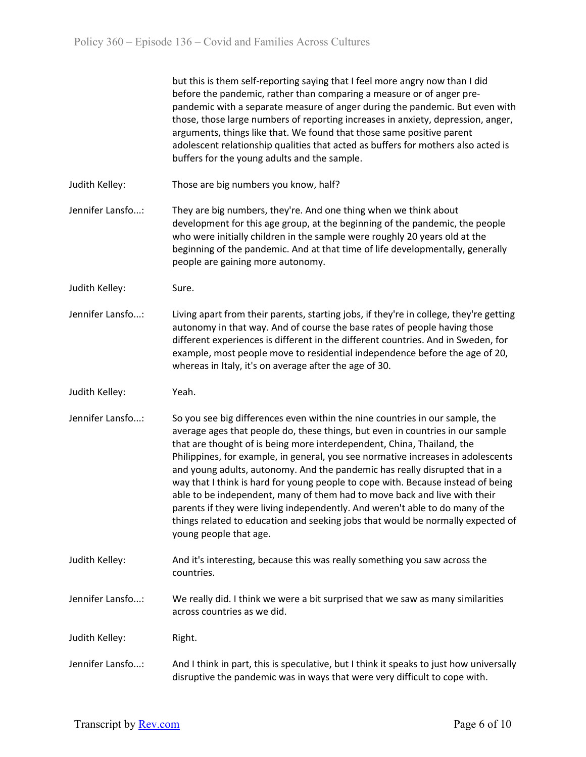|                  | but this is them self-reporting saying that I feel more angry now than I did<br>before the pandemic, rather than comparing a measure or of anger pre-<br>pandemic with a separate measure of anger during the pandemic. But even with<br>those, those large numbers of reporting increases in anxiety, depression, anger,<br>arguments, things like that. We found that those same positive parent<br>adolescent relationship qualities that acted as buffers for mothers also acted is<br>buffers for the young adults and the sample.                                                                                                                                                                                                                                    |
|------------------|----------------------------------------------------------------------------------------------------------------------------------------------------------------------------------------------------------------------------------------------------------------------------------------------------------------------------------------------------------------------------------------------------------------------------------------------------------------------------------------------------------------------------------------------------------------------------------------------------------------------------------------------------------------------------------------------------------------------------------------------------------------------------|
| Judith Kelley:   | Those are big numbers you know, half?                                                                                                                                                                                                                                                                                                                                                                                                                                                                                                                                                                                                                                                                                                                                      |
| Jennifer Lansfo: | They are big numbers, they're. And one thing when we think about<br>development for this age group, at the beginning of the pandemic, the people<br>who were initially children in the sample were roughly 20 years old at the<br>beginning of the pandemic. And at that time of life developmentally, generally<br>people are gaining more autonomy.                                                                                                                                                                                                                                                                                                                                                                                                                      |
| Judith Kelley:   | Sure.                                                                                                                                                                                                                                                                                                                                                                                                                                                                                                                                                                                                                                                                                                                                                                      |
| Jennifer Lansfo: | Living apart from their parents, starting jobs, if they're in college, they're getting<br>autonomy in that way. And of course the base rates of people having those<br>different experiences is different in the different countries. And in Sweden, for<br>example, most people move to residential independence before the age of 20,<br>whereas in Italy, it's on average after the age of 30.                                                                                                                                                                                                                                                                                                                                                                          |
| Judith Kelley:   | Yeah.                                                                                                                                                                                                                                                                                                                                                                                                                                                                                                                                                                                                                                                                                                                                                                      |
| Jennifer Lansfo: | So you see big differences even within the nine countries in our sample, the<br>average ages that people do, these things, but even in countries in our sample<br>that are thought of is being more interdependent, China, Thailand, the<br>Philippines, for example, in general, you see normative increases in adolescents<br>and young adults, autonomy. And the pandemic has really disrupted that in a<br>way that I think is hard for young people to cope with. Because instead of being<br>able to be independent, many of them had to move back and live with their<br>parents if they were living independently. And weren't able to do many of the<br>things related to education and seeking jobs that would be normally expected of<br>young people that age. |
| Judith Kelley:   | And it's interesting, because this was really something you saw across the<br>countries.                                                                                                                                                                                                                                                                                                                                                                                                                                                                                                                                                                                                                                                                                   |
| Jennifer Lansfo: | We really did. I think we were a bit surprised that we saw as many similarities<br>across countries as we did.                                                                                                                                                                                                                                                                                                                                                                                                                                                                                                                                                                                                                                                             |
| Judith Kelley:   | Right.                                                                                                                                                                                                                                                                                                                                                                                                                                                                                                                                                                                                                                                                                                                                                                     |
| Jennifer Lansfo: | And I think in part, this is speculative, but I think it speaks to just how universally<br>disruptive the pandemic was in ways that were very difficult to cope with.                                                                                                                                                                                                                                                                                                                                                                                                                                                                                                                                                                                                      |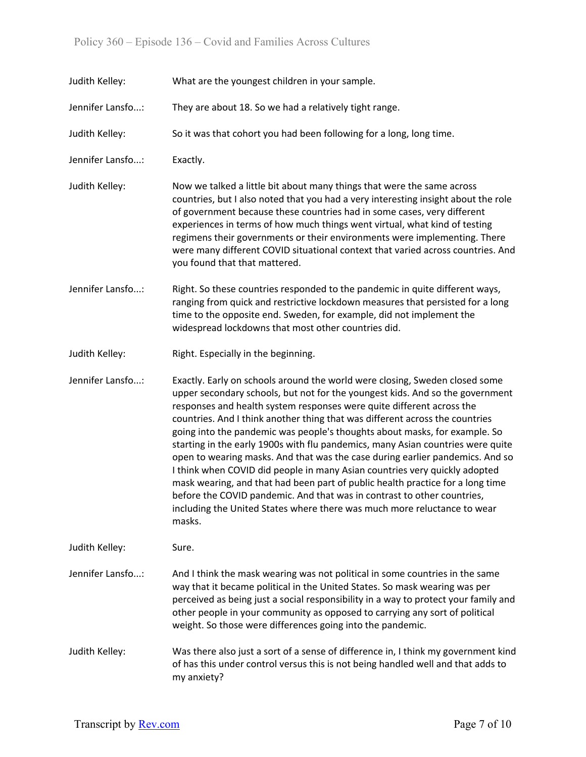| Judith Kelley:   | What are the youngest children in your sample.                                                                                                                                                                                                                                                                                                                                                                                                                                                                                                                                                                                                                                                                                                                                                                                                                                                           |
|------------------|----------------------------------------------------------------------------------------------------------------------------------------------------------------------------------------------------------------------------------------------------------------------------------------------------------------------------------------------------------------------------------------------------------------------------------------------------------------------------------------------------------------------------------------------------------------------------------------------------------------------------------------------------------------------------------------------------------------------------------------------------------------------------------------------------------------------------------------------------------------------------------------------------------|
| Jennifer Lansfo: | They are about 18. So we had a relatively tight range.                                                                                                                                                                                                                                                                                                                                                                                                                                                                                                                                                                                                                                                                                                                                                                                                                                                   |
| Judith Kelley:   | So it was that cohort you had been following for a long, long time.                                                                                                                                                                                                                                                                                                                                                                                                                                                                                                                                                                                                                                                                                                                                                                                                                                      |
| Jennifer Lansfo: | Exactly.                                                                                                                                                                                                                                                                                                                                                                                                                                                                                                                                                                                                                                                                                                                                                                                                                                                                                                 |
| Judith Kelley:   | Now we talked a little bit about many things that were the same across<br>countries, but I also noted that you had a very interesting insight about the role<br>of government because these countries had in some cases, very different<br>experiences in terms of how much things went virtual, what kind of testing<br>regimens their governments or their environments were implementing. There<br>were many different COVID situational context that varied across countries. And<br>you found that that mattered.                                                                                                                                                                                                                                                                                                                                                                                   |
| Jennifer Lansfo: | Right. So these countries responded to the pandemic in quite different ways,<br>ranging from quick and restrictive lockdown measures that persisted for a long<br>time to the opposite end. Sweden, for example, did not implement the<br>widespread lockdowns that most other countries did.                                                                                                                                                                                                                                                                                                                                                                                                                                                                                                                                                                                                            |
| Judith Kelley:   | Right. Especially in the beginning.                                                                                                                                                                                                                                                                                                                                                                                                                                                                                                                                                                                                                                                                                                                                                                                                                                                                      |
| Jennifer Lansfo: | Exactly. Early on schools around the world were closing, Sweden closed some<br>upper secondary schools, but not for the youngest kids. And so the government<br>responses and health system responses were quite different across the<br>countries. And I think another thing that was different across the countries<br>going into the pandemic was people's thoughts about masks, for example. So<br>starting in the early 1900s with flu pandemics, many Asian countries were quite<br>open to wearing masks. And that was the case during earlier pandemics. And so<br>I think when COVID did people in many Asian countries very quickly adopted<br>mask wearing, and that had been part of public health practice for a long time<br>before the COVID pandemic. And that was in contrast to other countries,<br>including the United States where there was much more reluctance to wear<br>masks. |
| Judith Kelley:   | Sure.                                                                                                                                                                                                                                                                                                                                                                                                                                                                                                                                                                                                                                                                                                                                                                                                                                                                                                    |
| Jennifer Lansfo: | And I think the mask wearing was not political in some countries in the same<br>way that it became political in the United States. So mask wearing was per<br>perceived as being just a social responsibility in a way to protect your family and<br>other people in your community as opposed to carrying any sort of political<br>weight. So those were differences going into the pandemic.                                                                                                                                                                                                                                                                                                                                                                                                                                                                                                           |
| Judith Kelley:   | Was there also just a sort of a sense of difference in, I think my government kind<br>of has this under control versus this is not being handled well and that adds to<br>my anxiety?                                                                                                                                                                                                                                                                                                                                                                                                                                                                                                                                                                                                                                                                                                                    |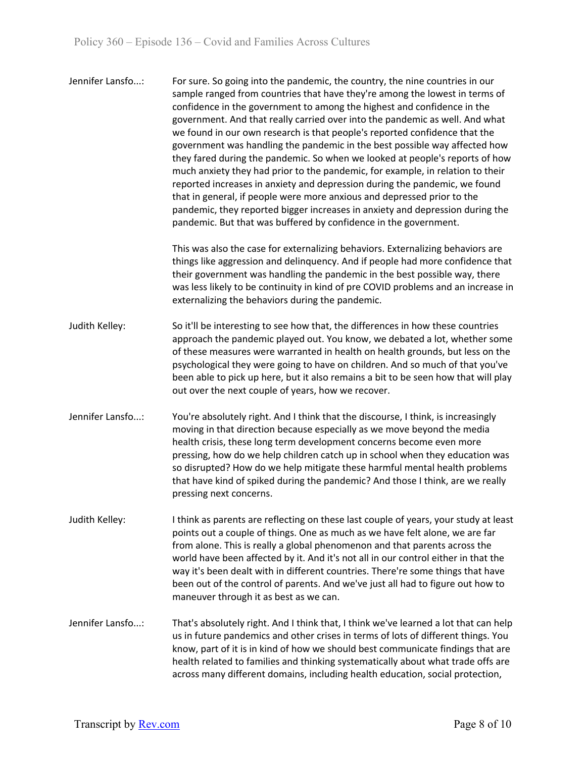| Jennifer Lansfo: | For sure. So going into the pandemic, the country, the nine countries in our<br>sample ranged from countries that have they're among the lowest in terms of<br>confidence in the government to among the highest and confidence in the<br>government. And that really carried over into the pandemic as well. And what<br>we found in our own research is that people's reported confidence that the<br>government was handling the pandemic in the best possible way affected how<br>they fared during the pandemic. So when we looked at people's reports of how<br>much anxiety they had prior to the pandemic, for example, in relation to their<br>reported increases in anxiety and depression during the pandemic, we found |
|------------------|------------------------------------------------------------------------------------------------------------------------------------------------------------------------------------------------------------------------------------------------------------------------------------------------------------------------------------------------------------------------------------------------------------------------------------------------------------------------------------------------------------------------------------------------------------------------------------------------------------------------------------------------------------------------------------------------------------------------------------|
|                  | that in general, if people were more anxious and depressed prior to the                                                                                                                                                                                                                                                                                                                                                                                                                                                                                                                                                                                                                                                            |
|                  | pandemic, they reported bigger increases in anxiety and depression during the                                                                                                                                                                                                                                                                                                                                                                                                                                                                                                                                                                                                                                                      |
|                  | pandemic. But that was buffered by confidence in the government.                                                                                                                                                                                                                                                                                                                                                                                                                                                                                                                                                                                                                                                                   |

This was also the case for externalizing behaviors. Externalizing behaviors are things like aggression and delinquency. And if people had more confidence that their government was handling the pandemic in the best possible way, there was less likely to be continuity in kind of pre COVID problems and an increase in externalizing the behaviors during the pandemic.

- Judith Kelley: So it'll be interesting to see how that, the differences in how these countries approach the pandemic played out. You know, we debated a lot, whether some of these measures were warranted in health on health grounds, but less on the psychological they were going to have on children. And so much of that you've been able to pick up here, but it also remains a bit to be seen how that will play out over the next couple of years, how we recover.
- Jennifer Lansfo...: You're absolutely right. And I think that the discourse, I think, is increasingly moving in that direction because especially as we move beyond the media health crisis, these long term development concerns become even more pressing, how do we help children catch up in school when they education was so disrupted? How do we help mitigate these harmful mental health problems that have kind of spiked during the pandemic? And those I think, are we really pressing next concerns.
- Judith Kelley: I think as parents are reflecting on these last couple of years, your study at least points out a couple of things. One as much as we have felt alone, we are far from alone. This is really a global phenomenon and that parents across the world have been affected by it. And it's not all in our control either in that the way it's been dealt with in different countries. There're some things that have been out of the control of parents. And we've just all had to figure out how to maneuver through it as best as we can.
- Jennifer Lansfo...: That's absolutely right. And I think that, I think we've learned a lot that can help us in future pandemics and other crises in terms of lots of different things. You know, part of it is in kind of how we should best communicate findings that are health related to families and thinking systematically about what trade offs are across many different domains, including health education, social protection,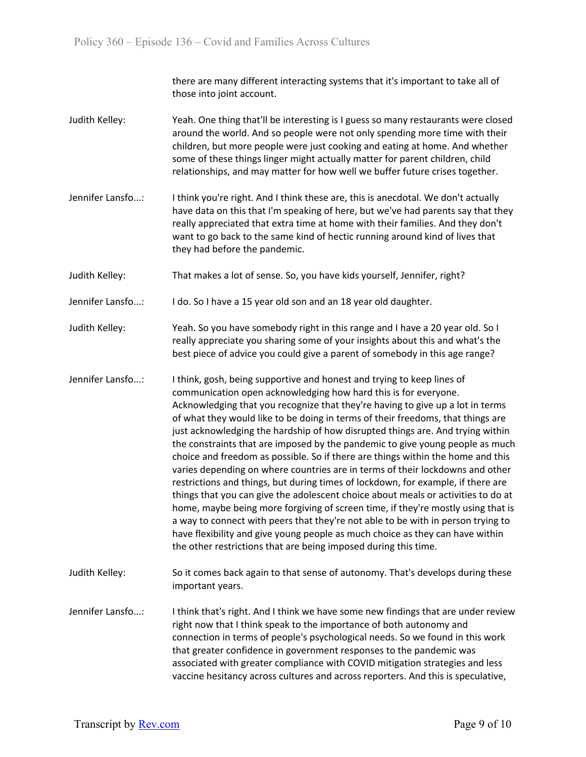there are many different interacting systems that it's important to take all of those into joint account.

- Judith Kelley: Yeah. One thing that'll be interesting is I guess so many restaurants were closed around the world. And so people were not only spending more time with their children, but more people were just cooking and eating at home. And whether some of these things linger might actually matter for parent children, child relationships, and may matter for how well we buffer future crises together.
- Jennifer Lansfo...: I think you're right. And I think these are, this is anecdotal. We don't actually have data on this that I'm speaking of here, but we've had parents say that they really appreciated that extra time at home with their families. And they don't want to go back to the same kind of hectic running around kind of lives that they had before the pandemic.
- Judith Kelley: That makes a lot of sense. So, you have kids yourself, Jennifer, right?
- Jennifer Lansfo...: I do. So I have a 15 year old son and an 18 year old daughter.
- Judith Kelley: Yeah. So you have somebody right in this range and I have a 20 year old. So I really appreciate you sharing some of your insights about this and what's the best piece of advice you could give a parent of somebody in this age range?
- Jennifer Lansfo...: I think, gosh, being supportive and honest and trying to keep lines of communication open acknowledging how hard this is for everyone. Acknowledging that you recognize that they're having to give up a lot in terms of what they would like to be doing in terms of their freedoms, that things are just acknowledging the hardship of how disrupted things are. And trying within the constraints that are imposed by the pandemic to give young people as much choice and freedom as possible. So if there are things within the home and this varies depending on where countries are in terms of their lockdowns and other restrictions and things, but during times of lockdown, for example, if there are things that you can give the adolescent choice about meals or activities to do at home, maybe being more forgiving of screen time, if they're mostly using that is a way to connect with peers that they're not able to be with in person trying to have flexibility and give young people as much choice as they can have within the other restrictions that are being imposed during this time.
- Judith Kelley: So it comes back again to that sense of autonomy. That's develops during these important years.

Jennifer Lansfo...: I think that's right. And I think we have some new findings that are under review right now that I think speak to the importance of both autonomy and connection in terms of people's psychological needs. So we found in this work that greater confidence in government responses to the pandemic was associated with greater compliance with COVID mitigation strategies and less vaccine hesitancy across cultures and across reporters. And this is speculative,